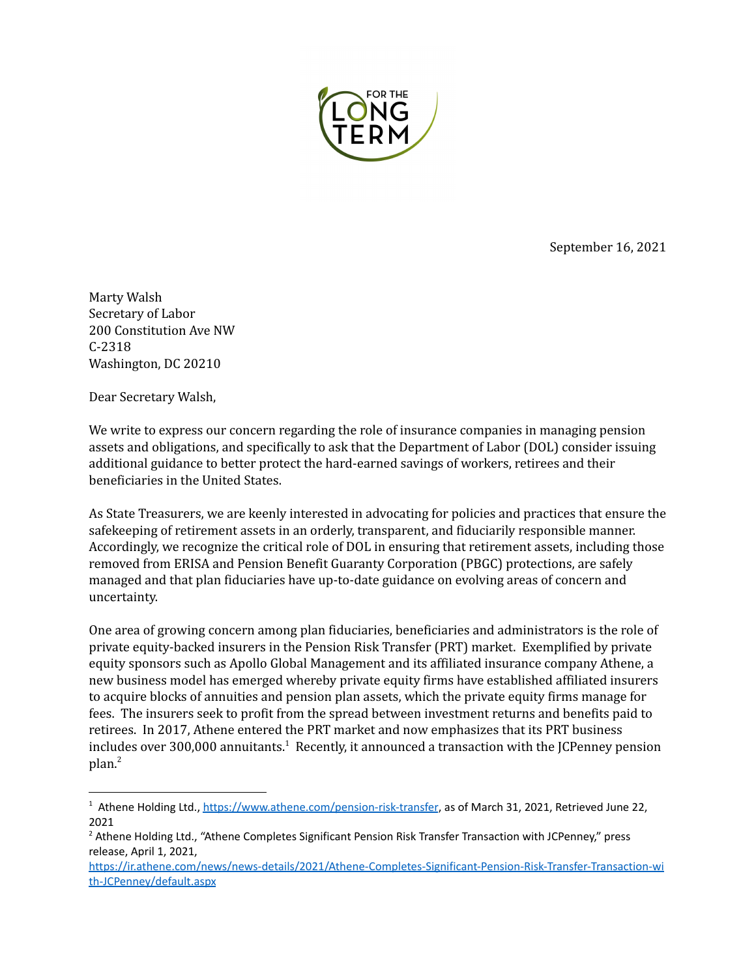

September 16, 2021

Marty Walsh Secretary of Labor 200 Constitution Ave NW C-2318 Washington, DC 20210

Dear Secretary Walsh,

We write to express our concern regarding the role of insurance companies in managing pension assets and obligations, and specifically to ask that the Department of Labor (DOL) consider issuing additional guidance to better protect the hard-earned savings of workers, retirees and their beneficiaries in the United States.

As State Treasurers, we are keenly interested in advocating for policies and practices that ensure the safekeeping of retirement assets in an orderly, transparent, and fiduciarily responsible manner. Accordingly, we recognize the critical role of DOL in ensuring that retirement assets, including those removed from ERISA and Pension Benefit Guaranty Corporation (PBGC) protections, are safely managed and that plan fiduciaries have up-to-date guidance on evolving areas of concern and uncertainty.

One area of growing concern among plan fiduciaries, beneficiaries and administrators is the role of private equity-backed insurers in the Pension Risk Transfer (PRT) market. Exemplified by private equity sponsors such as Apollo Global Management and its affiliated insurance company Athene, a new business model has emerged whereby private equity firms have established affiliated insurers to acquire blocks of annuities and pension plan assets, which the private equity firms manage for fees. The insurers seek to profit from the spread between investment returns and benefits paid to retirees. In 2017, Athene entered the PRT market and now emphasizes that its PRT business includes over 300,000 annuitants. $^1$  Recently, it announced a transaction with the JCPenney pension plan. 2

<sup>&</sup>lt;sup>1</sup> Athene Holding Ltd., <https://www.athene.com/pension-risk-transfer>, as of March 31, 2021, Retrieved June 22, 2021

<sup>&</sup>lt;sup>2</sup> Athene Holding Ltd., "Athene Completes Significant Pension Risk Transfer Transaction with JCPenney," press release, April 1, 2021,

[https://ir.athene.com/news/news-details/2021/Athene-Completes-Significant-Pension-Risk-Transfer-Transaction-wi](https://ir.athene.com/news/news-details/2021/Athene-Completes-Significant-Pension-Risk-Transfer-Transaction-with-JCPenney/default.aspx) [th-JCPenney/default.aspx](https://ir.athene.com/news/news-details/2021/Athene-Completes-Significant-Pension-Risk-Transfer-Transaction-with-JCPenney/default.aspx)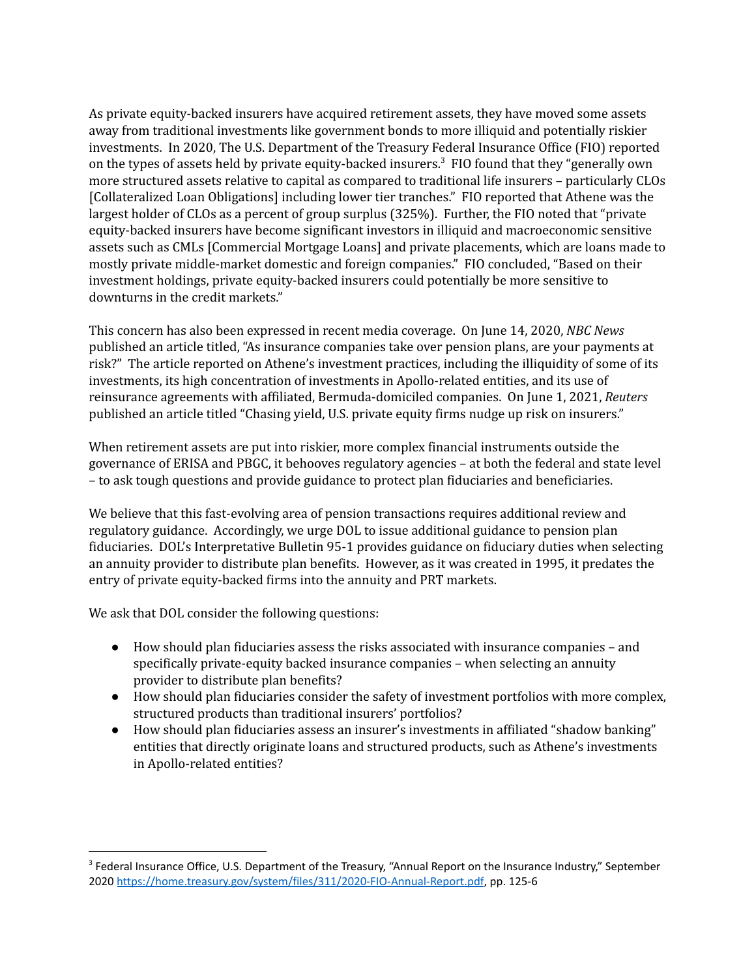As private equity-backed insurers have acquired retirement assets, they have moved some assets away from traditional investments like government bonds to more illiquid and potentially riskier investments. In 2020, The U.S. Department of the Treasury Federal Insurance Office (FIO) reported on the types of assets held by private equity-backed insurers. $3$  FIO found that they "generally own more structured assets relative to capital as compared to traditional life insurers – particularly CLOs [Collateralized Loan Obligations] including lower tier tranches." FIO reported that Athene was the largest holder of CLOs as a percent of group surplus (325%). Further, the FIO noted that "private equity-backed insurers have become significant investors in illiquid and macroeconomic sensitive assets such as CMLs [Commercial Mortgage Loans] and private placements, which are loans made to mostly private middle-market domestic and foreign companies." FIO concluded, "Based on their investment holdings, private equity-backed insurers could potentially be more sensitive to downturns in the credit markets."

This concern has also been expressed in recent media coverage. On June 14, 2020, *NBC News* published an article titled, "As insurance companies take over pension plans, are your payments at risk?" The article reported on Athene's investment practices, including the illiquidity of some of its investments, its high concentration of investments in Apollo-related entities, and its use of reinsurance agreements with affiliated, Bermuda-domiciled companies. On June 1, 2021, *Reuters* published an article titled "Chasing yield, U.S. private equity firms nudge up risk on insurers."

When retirement assets are put into riskier, more complex financial instruments outside the governance of ERISA and PBGC, it behooves regulatory agencies – at both the federal and state level – to ask tough questions and provide guidance to protect plan fiduciaries and beneficiaries.

We believe that this fast-evolving area of pension transactions requires additional review and regulatory guidance. Accordingly, we urge DOL to issue additional guidance to pension plan fiduciaries. DOL's Interpretative Bulletin 95-1 provides guidance on fiduciary duties when selecting an annuity provider to distribute plan benefits. However, as it was created in 1995, it predates the entry of private equity-backed firms into the annuity and PRT markets.

We ask that DOL consider the following questions:

- How should plan fiduciaries assess the risks associated with insurance companies and specifically private-equity backed insurance companies – when selecting an annuity provider to distribute plan benefits?
- How should plan fiduciaries consider the safety of investment portfolios with more complex, structured products than traditional insurers' portfolios?
- How should plan fiduciaries assess an insurer's investments in affiliated "shadow banking" entities that directly originate loans and structured products, such as Athene's investments in Apollo-related entities?

<sup>&</sup>lt;sup>3</sup> Federal Insurance Office, U.S. Department of the Treasury, "Annual Report on the Insurance Industry," September 2020 <https://home.treasury.gov/system/files/311/2020-FIO-Annual-Report.pdf>, pp. 125-6